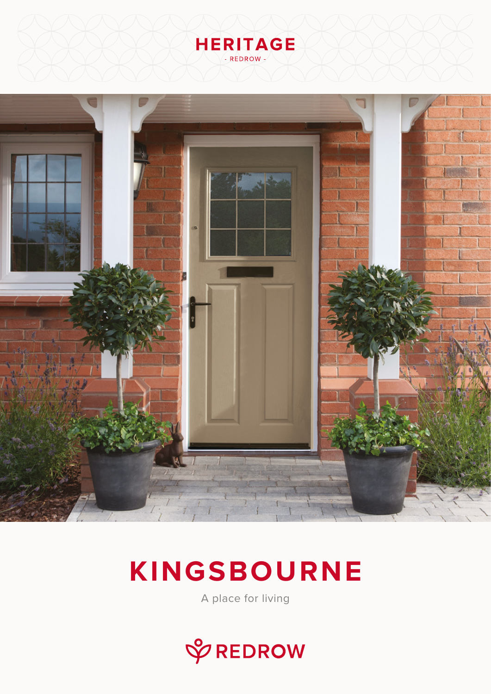# **HERITAGE** - REDROW-



# **KINGSBOURNE**

A place for living

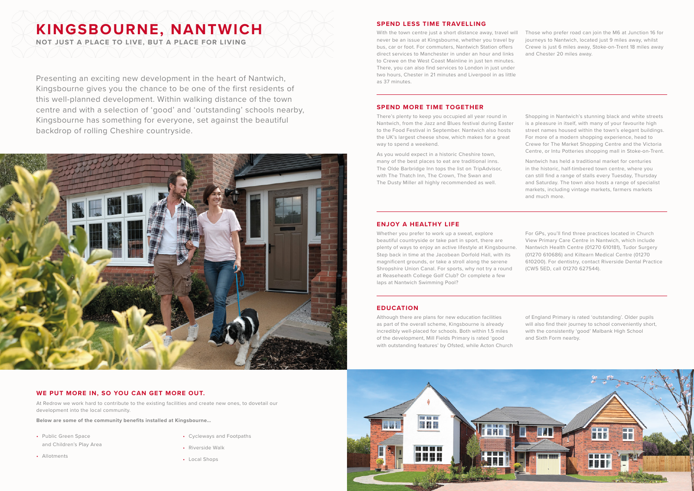Presenting an exciting new development in the heart of Nantwich, Kingsbourne gives you the chance to be one of the first residents of this well-planned development. Within walking distance of the town centre and with a selection of 'good' and 'outstanding' schools nearby, Kingsbourne has something for everyone, set against the beautiful backdrop of rolling Cheshire countryside.



At Redrow we work hard to contribute to the existing facilities and create new ones, to dovetail our development into the local community.

**Below are some of the community benefits installed at Kingsbourne…**

- Public Green Space and Children's Play Area
- Allotments
- Cycleways and Footpaths
- Riverside Walk
- Local Shops

With the town centre just a short distance away, travel will never be an issue at Kingsbourne, whether you travel by bus, car or foot. For commuters, Nantwich Station offers direct services to Manchester in under an hour and links to Crewe on the West Coast Mainline in just ten minutes. There, you can also find services to London in just under two hours, Chester in 21 minutes and Liverpool in as little as 37 minutes. Those who prefer road can join the M6 at Junction 16 for journeys to Nantwich, located just 9 miles away, whilst Crewe is just 6 miles away, Stoke-on-Trent 18 miles away and Chester 20 miles away.

## **WE PUT MORE IN, SO YOU CAN GET MORE OUT.**

### **SPEND LESS TIME TRAVELLING**

### **SPEND MORE TIME TOGETHER**

There's plenty to keep you occupied all year round in Nantwich, from the Jazz and Blues festival during Easter to the Food Festival in September. Nantwich also hosts the UK's largest cheese show, which makes for a great way to spend a weekend.

As you would expect in a historic Cheshire town, many of the best places to eat are traditional inns. The Olde Barbridge Inn tops the list on TripAdvisor, with The Thatch Inn, The Crown, The Swan and The Dusty Miller all highly recommended as well.

Shopping in Nantwich's stunning black and white streets is a pleasure in itself, with many of your favourite high street names housed within the town's elegant buildings. For more of a modern shopping experience, head to Crewe for The Market Shopping Centre and the Victoria Centre, or Intu Potteries shopping mall in Stoke-on-Trent.

Nantwich has held a traditional market for centuries in the historic, half-timbered town centre, where you can still find a range of stalls every Tuesday, Thursday and Saturday. The town also hosts a range of specialist markets, including vintage markets, farmers markets and much more.

## **ENJOY A HEALTHY LIFE**

Whether you prefer to work up a sweat, explore beautiful countryside or take part in sport, there are plenty of ways to enjoy an active lifestyle at Kingsbourne. Step back in time at the Jacobean Dorfold Hall, with its magnificent grounds, or take a stroll along the serene Shropshire Union Canal. For sports, why not try a round at Reaseheath College Golf Club? Or complete a few laps at Nantwich Swimming Pool?

For GPs, you'll find three practices located in Church View Primary Care Centre in Nantwich, which include Nantwich Health Centre (01270 610181), Tudor Surgery (01270 610686) and Kiltearn Medical Centre (01270 610200). For dentistry, contact Riverside Dental Practice (CW5 5ED, call 01270 627544).

### **EDUCATION**

Although there are plans for new education facilities as part of the overall scheme, Kingsbourne is already incredibly well-placed for schools. Both within 1.5 miles of the development, Mill Fields Primary is rated 'good with outstanding features' by Ofsted, while Acton Church



of England Primary is rated 'outstanding'. Older pupils will also find their journey to school conveniently short, with the consistently 'good' Malbank High School and Sixth Form nearby.

**NOT JUST A PLACE TO LIVE, BUT A PLACE FOR LIVING**

# **KINGSBOURNE, NANTWICH**